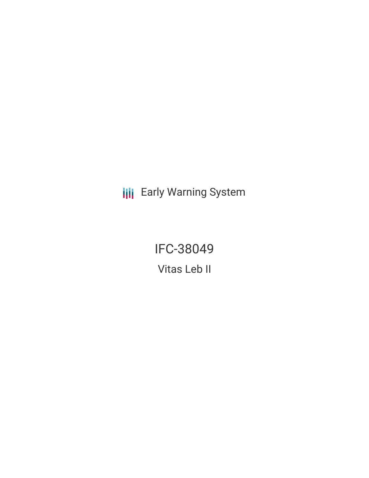**III** Early Warning System

IFC-38049 Vitas Leb II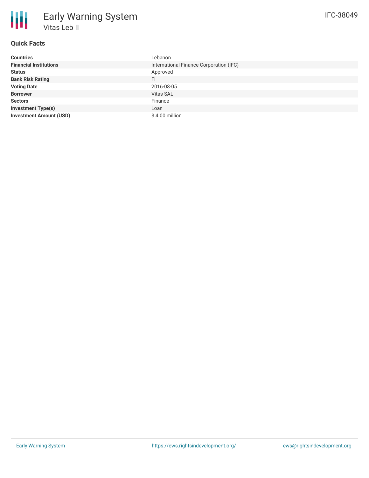| <b>Countries</b>               | Lebanon                                 |
|--------------------------------|-----------------------------------------|
| <b>Financial Institutions</b>  | International Finance Corporation (IFC) |
| <b>Status</b>                  | Approved                                |
| <b>Bank Risk Rating</b>        | FI.                                     |
| <b>Voting Date</b>             | 2016-08-05                              |
| <b>Borrower</b>                | <b>Vitas SAL</b>                        |
| <b>Sectors</b>                 | Finance                                 |
| <b>Investment Type(s)</b>      | Loan                                    |
| <b>Investment Amount (USD)</b> | $$4.00$ million                         |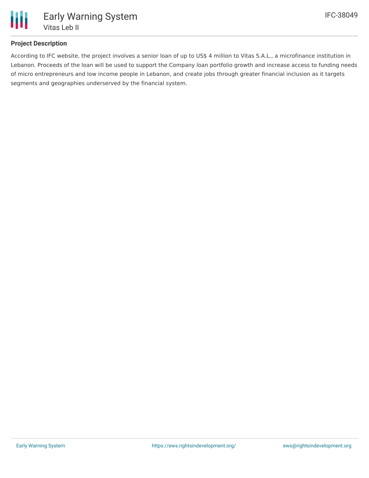

## **Project Description**

According to IFC website, the project involves a senior loan of up to US\$ 4 million to Vitas S.A.L., a microfinance institution in Lebanon. Proceeds of the loan will be used to support the Company loan portfolio growth and increase access to funding needs of micro entrepreneurs and low income people in Lebanon, and create jobs through greater financial inclusion as it targets segments and geographies underserved by the financial system.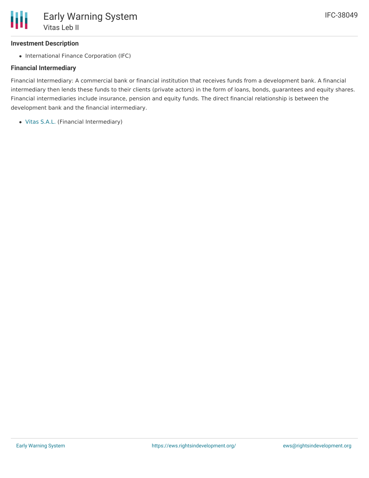# **Investment Description**

• International Finance Corporation (IFC)

# **Financial Intermediary**

Financial Intermediary: A commercial bank or financial institution that receives funds from a development bank. A financial intermediary then lends these funds to their clients (private actors) in the form of loans, bonds, guarantees and equity shares. Financial intermediaries include insurance, pension and equity funds. The direct financial relationship is between the development bank and the financial intermediary.

Vitas [S.A.L.](file:///actor/962/) (Financial Intermediary)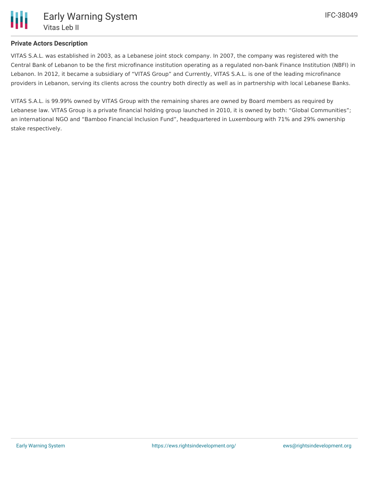

## **Private Actors Description**

VITAS S.A.L. was established in 2003, as a Lebanese joint stock company. In 2007, the company was registered with the Central Bank of Lebanon to be the first microfinance institution operating as a regulated non-bank Finance Institution (NBFI) in Lebanon. In 2012, it became a subsidiary of "VITAS Group" and Currently, VITAS S.A.L. is one of the leading microfinance providers in Lebanon, serving its clients across the country both directly as well as in partnership with local Lebanese Banks.

VITAS S.A.L. is 99.99% owned by VITAS Group with the remaining shares are owned by Board members as required by Lebanese law. VITAS Group is a private financial holding group launched in 2010, it is owned by both: "Global Communities"; an international NGO and "Bamboo Financial Inclusion Fund", headquartered in Luxembourg with 71% and 29% ownership stake respectively.